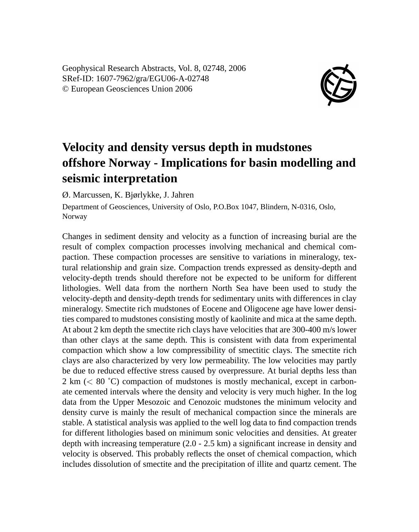Geophysical Research Abstracts, Vol. 8, 02748, 2006 SRef-ID: 1607-7962/gra/EGU06-A-02748 © European Geosciences Union 2006



## **Velocity and density versus depth in mudstones offshore Norway - Implications for basin modelling and seismic interpretation**

Ø. Marcussen, K. Bjørlykke, J. Jahren

Department of Geosciences, University of Oslo, P.O.Box 1047, Blindern, N-0316, Oslo, Norway

Changes in sediment density and velocity as a function of increasing burial are the result of complex compaction processes involving mechanical and chemical compaction. These compaction processes are sensitive to variations in mineralogy, textural relationship and grain size. Compaction trends expressed as density-depth and velocity-depth trends should therefore not be expected to be uniform for different lithologies. Well data from the northern North Sea have been used to study the velocity-depth and density-depth trends for sedimentary units with differences in clay mineralogy. Smectite rich mudstones of Eocene and Oligocene age have lower densities compared to mudstones consisting mostly of kaolinite and mica at the same depth. At about 2 km depth the smectite rich clays have velocities that are 300-400 m/s lower than other clays at the same depth. This is consistent with data from experimental compaction which show a low compressibility of smectitic clays. The smectite rich clays are also characterized by very low permeability. The low velocities may partly be due to reduced effective stress caused by overpressure. At burial depths less than 2 km (< 80 ˚C) compaction of mudstones is mostly mechanical, except in carbonate cemented intervals where the density and velocity is very much higher. In the log data from the Upper Mesozoic and Cenozoic mudstones the minimum velocity and density curve is mainly the result of mechanical compaction since the minerals are stable. A statistical analysis was applied to the well log data to find compaction trends for different lithologies based on minimum sonic velocities and densities. At greater depth with increasing temperature (2.0 - 2.5 km) a significant increase in density and velocity is observed. This probably reflects the onset of chemical compaction, which includes dissolution of smectite and the precipitation of illite and quartz cement. The